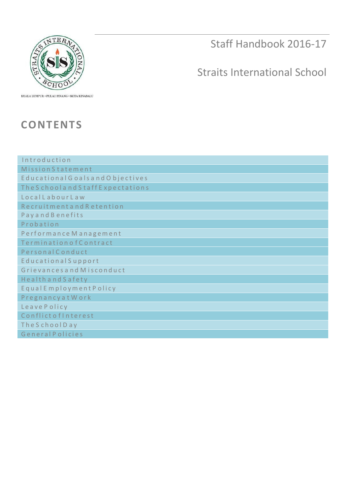

Staff Handbook 2016-17

# Straits International School

KUALA LUMPUR • PULAU PINANG • KOTA KINABALU

# **CONTENTS**

| Introduction                     |
|----------------------------------|
| <b>Mission Statement</b>         |
| Educational Goalsand Objectives  |
| The Schooland Staff Expectations |
| LocalLabourLaw                   |
| RecruitmentandRetention          |
| <b>Payand Benefits</b>           |
| Probation                        |
| Performance Management           |
| Termination of Contract          |
| Personal Conduct                 |
| <b>Educational Support</b>       |
| Grievances and Misconduct        |
| <b>Healthand Safety</b>          |
| Equal Employment Policy          |
| Pregnancy at Work                |
| LeavePolicy                      |
| ConflictofInterest               |
| The School Day                   |
| GeneralPolicies                  |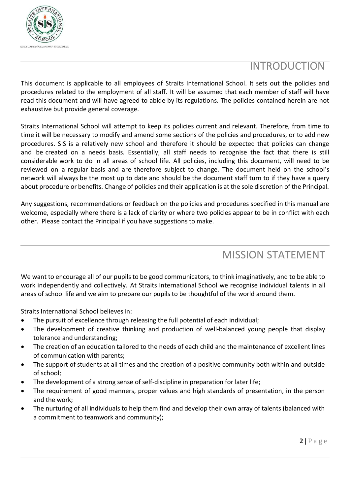

## **INTRODUCTION**

This document is applicable to all employees of Straits International School. It sets out the policies and procedures related to the employment of all staff. It will be assumed that each member of staff will have read this document and will have agreed to abide by its regulations. The policies contained herein are not exhaustive but provide general coverage.

Straits International School will attempt to keep its policies current and relevant. Therefore, from time to time it will be necessary to modify and amend some sections of the policies and procedures, or to add new procedures. SIS is a relatively new school and therefore it should be expected that policies can change and be created on a needs basis. Essentially, all staff needs to recognise the fact that there is still considerable work to do in all areas of school life. All policies, including this document, will need to be reviewed on a regular basis and are therefore subject to change. The document held on the school's network will always be the most up to date and should be the document staff turn to if they have a query about procedure or benefits. Change of policies and their application is at the sole discretion of the Principal.

Any suggestions, recommendations or feedback on the policies and procedures specified in this manual are welcome, especially where there is a lack of clarity or where two policies appear to be in conflict with each other. Please contact the Principal if you have suggestions to make.

# MISSION STATEMENT

We want to encourage all of our pupils to be good communicators, to think imaginatively, and to be able to work independently and collectively. At Straits International School we recognise individual talents in all areas of school life and we aim to prepare our pupils to be thoughtful of the world around them.

Straits International School believes in:

- The pursuit of excellence through releasing the full potential of each individual;
- The development of creative thinking and production of well-balanced young people that display tolerance and understanding;
- The creation of an education tailored to the needs of each child and the maintenance of excellent lines of communication with parents;
- The support of students at all times and the creation of a positive community both within and outside of school;
- The development of a strong sense of self-discipline in preparation for later life;
- The requirement of good manners, proper values and high standards of presentation, in the person and the work;
- The nurturing of all individuals to help them find and develop their own array of talents (balanced with a commitment to teamwork and community);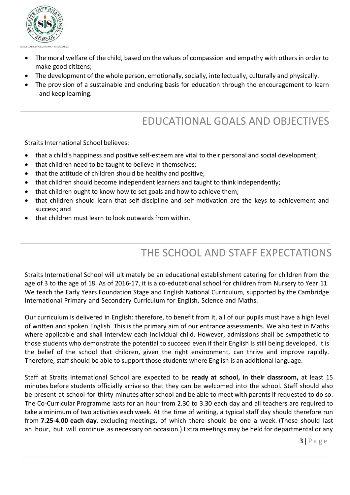

- The moral welfare of the child, based on the values of compassion and empathy with others in order to make good citizens;
- The development of the whole person, emotionally, socially, intellectually, culturally and physically.
- The provision of a sustainable and enduring basis for education through the encouragement to learn - and keep learning.

# EDUCATIONAL GOALS AND OBJECTIVES

Straits International School believes:

- that a child's happiness and positive self-esteem are vital to their personal and social development;
- that children need to be taught to believe in themselves:
- that the attitude of children should be healthy and positive;
- that children should become independent learners and taught to think independently;
- that children ought to know how to set goals and how to achieve them;
- that children should learn that self-discipline and self-motivation are the keys to achievement and success; and
- that children must learn to look outwards from within.

# THE SCHOOL AND STAFF EXPECTATIONS

Straits International School will ultimately be an educational establishment catering for children from the age of 3 to the age of 18. As of 2016-17, it is a co-educational school for children from Nursery to Year 11. We teach the Early Years Foundation Stage and English National Curriculum, supported by the Cambridge International Primary and Secondary Curriculum for English, Science and Maths.

Our curriculum is delivered in English: therefore, to benefit from it, all of our pupils must have a high level of written and spoken English. This is the primary aim of our entrance assessments. We also test in Maths where applicable and shall interview each individual child. However, admissions shall be sympathetic to those students who demonstrate the potential to succeed even if their English is still being developed. It is the belief of the school that children, given the right environment, can thrive and improve rapidly. Therefore, staff should be able to support those students where English is an additional language.

Staff at Straits International School are expected to be **ready at school, in their classroom,** at least 15 minutes before students officially arrive so that they can be welcomed into the school. Staff should also be present at school for thirty minutes after school and be able to meet with parents if requested to do so. The Co-Curricular Programme lasts for an hour from 2.30 to 3.30 each day and all teachers are required to take a minimum of two activities each week. At the time of writing, a typical staff day should therefore run from **7.25-4.00 each day**, excluding meetings, of which there should be one a week. (These should last an hour, but will continue as necessary on occasion.) Extra meetings may be held for departmental or any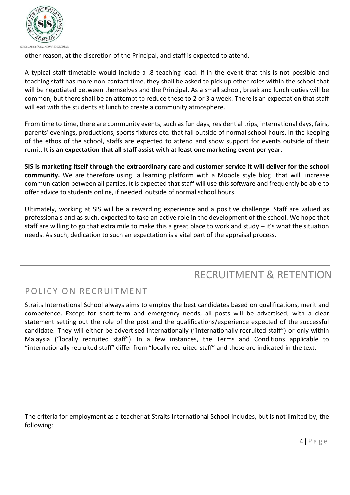

other reason, at the discretion of the Principal, and staff is expected to attend.

A typical staff timetable would include a .8 teaching load. If in the event that this is not possible and teaching staff has more non-contact time, they shall be asked to pick up other roles within the school that will be negotiated between themselves and the Principal. As a small school, break and lunch duties will be common, but there shall be an attempt to reduce these to 2 or 3 a week. There is an expectation that staff will eat with the students at lunch to create a community atmosphere.

From time to time, there are community events, such as fun days, residential trips, international days, fairs, parents' evenings, productions, sports fixtures etc. that fall outside of normal school hours. In the keeping of the ethos of the school, staffs are expected to attend and show support for events outside of their remit. **It is an expectation that all staff assist with at least one marketing event per year.**

SIS is marketing itself through the extraordinary care and customer service it will deliver for the school **community.** We are therefore using a learning platform with a Moodle style blog that will increase communication between all parties. It is expected that staff will use thissoftware and frequently be able to offer advice to students online, if needed, outside of normal school hours.

Ultimately, working at SIS will be a rewarding experience and a positive challenge. Staff are valued as professionals and as such, expected to take an active role in the development of the school. We hope that staff are willing to go that extra mile to make this a great place to work and study – it's what the situation needs. As such, dedication to such an expectation is a vital part of the appraisal process.

## RECRUITMENT & RETENTION

## POLICY ON RECRUITMENT

Straits International School always aims to employ the best candidates based on qualifications, merit and competence. Except for short-term and emergency needs, all posts will be advertised, with a clear statement setting out the role of the post and the qualifications/experience expected of the successful candidate. They will either be advertised internationally ("internationally recruited staff") or only within Malaysia ("locally recruited staff"). In a few instances, the Terms and Conditions applicable to "internationally recruited staff" differ from "locally recruited staff" and these are indicated in the text.

The criteria for employment as a teacher at Straits International School includes, but is not limited by, the following: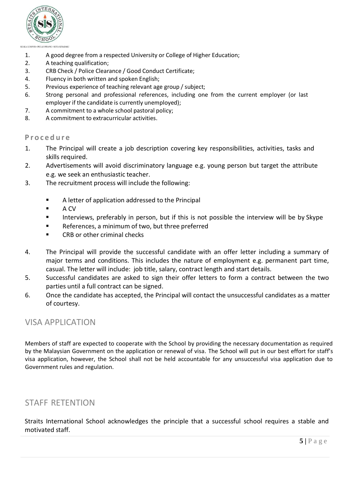

- 1. A good degree from a respected University or College of Higher Education;
- 2. A teaching qualification;
- 3. CRB Check / Police Clearance / Good Conduct Certificate;
- 4. Fluency in both written and spoken English;
- 5. Previous experience of teaching relevant age group / subject;
- 6. Strong personal and professional references, including one from the current employer (or last employer if the candidate is currently unemployed);
- 7. A commitment to a whole school pastoral policy;
- 8. A commitment to extracurricular activities.

#### **P r o c e d u r e**

- 1. The Principal will create a job description covering key responsibilities, activities, tasks and skills required.
- 2. Advertisements will avoid discriminatory language e.g. young person but target the attribute e.g. we seek an enthusiastic teacher.
- 3. The recruitment process will include the following:
	- A letter of application addressed to the Principal
	- $A CV$
	- Interviews, preferably in person, but if this is not possible the interview will be by Skype
	- **EXEC** References, a minimum of two, but three preferred
	- CRB or other criminal checks
- 4. The Principal will provide the successful candidate with an offer letter including a summary of major terms and conditions. This includes the nature of employment e.g. permanent part time, casual. The letter will include: job title, salary, contract length and start details.
- 5. Successful candidates are asked to sign their offer letters to form a contract between the two parties until a full contract can be signed.
- 6. Once the candidate has accepted, the Principal will contact the unsuccessful candidates as a matter of courtesy.

### VISA APPLICATION

Members of staff are expected to cooperate with the School by providing the necessary documentation as required by the Malaysian Government on the application or renewal of visa. The School will put in our best effort for staff's visa application, however, the School shall not be held accountable for any unsuccessful visa application due to Government rules and regulation.

### STAFF RETENTION

Straits International School acknowledges the principle that a successful school requires a stable and motivated staff.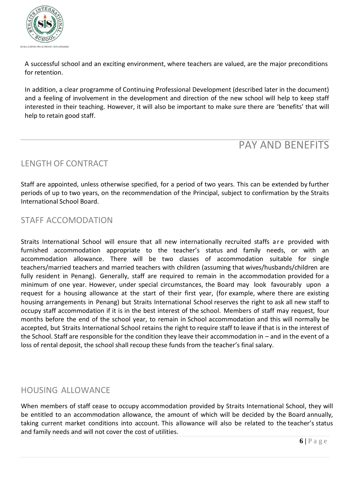

A successful school and an exciting environment, where teachers are valued, are the major preconditions for retention.

In addition, a clear programme of Continuing Professional Development (described later in the document) and a feeling of involvement in the development and direction of the new school will help to keep staff interested in their teaching. However, it will also be important to make sure there are 'benefits' that will help to retain good staff.

## PAY AND BENEFITS

## LENGTH OF CONTRACT

Staff are appointed, unless otherwise specified, for a period of two years. This can be extended by further periods of up to two years, on the recommendation of the Principal, subject to confirmation by the Straits International School Board.

## STAFF ACCOMODATION

Straits International School will ensure that all new internationally recruited staffs are provided with furnished accommodation appropriate to the teacher's status and family needs, or with an accommodation allowance. There will be two classes of accommodation suitable for single teachers/married teachers and married teachers with children (assuming that wives/husbands/children are fully resident in Penang). Generally, staff are required to remain in the accommodation provided for a minimum of one year. However, under special circumstances, the Board may look favourably upon a request for a housing allowance at the start of their first year, (for example, where there are existing housing arrangements in Penang) but Straits International School reserves the right to ask all new staff to occupy staff accommodation if it is in the best interest of the school. Members of staff may request, four months before the end of the school year, to remain in School accommodation and this will normally be accepted, but Straits International School retains the right to require staff to leave if that is in the interest of the School. Staff are responsible for the condition they leave their accommodation in – and in the event of a loss of rental deposit, the school shall recoup these funds from the teacher's final salary.

### HOUSING ALLOWANCE

When members of staff cease to occupy accommodation provided by Straits International School, they will be entitled to an accommodation allowance, the amount of which will be decided by the Board annually, taking current market conditions into account. This allowance will also be related to the teacher's status and family needs and will not cover the cost of utilities.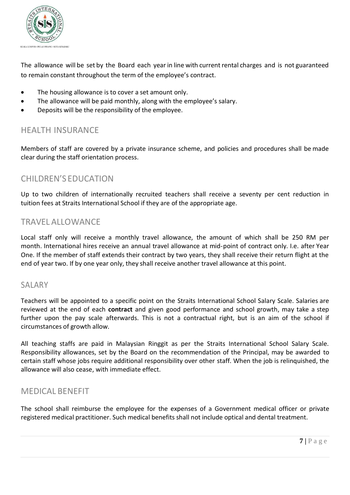

The allowance will be set by the Board each year in line with current rental charges and is not guaranteed to remain constant throughout the term of the employee's contract.

- The housing allowance is to cover a set amount only.
- The allowance will be paid monthly, along with the employee's salary.
- Deposits will be the responsibility of the employee.

## HEALTH INSURANCE

Members of staff are covered by a private insurance scheme, and policies and procedures shall be made clear during the staff orientation process.

## CHILDREN'S EDUCATION

Up to two children of internationally recruited teachers shall receive a seventy per cent reduction in tuition fees at Straits International School if they are of the appropriate age.

## TRAVEL ALLOWANCE

Local staff only will receive a monthly travel allowance, the amount of which shall be 250 RM per month. International hires receive an annual travel allowance at mid-point of contract only. I.e. after Year One. If the member of staff extends their contract by two years, they shall receive their return flight at the end of year two. If by one year only, they shall receive another travel allowance at this point.

## SALARY

Teachers will be appointed to a specific point on the Straits International School Salary Scale. Salaries are reviewed at the end of each **contract** and given good performance and school growth, may take a step further upon the pay scale afterwards. This is not a contractual right, but is an aim of the school if circumstances of growth allow.

All teaching staffs are paid in Malaysian Ringgit as per the Straits International School Salary Scale. Responsibility allowances, set by the Board on the recommendation of the Principal, may be awarded to certain staff whose jobs require additional responsibility over other staff. When the job is relinquished, the allowance will also cease, with immediate effect.

## MEDICAL BENEFIT

The school shall reimburse the employee for the expenses of a Government medical officer or private registered medical practitioner. Such medical benefits shall not include optical and dental treatment.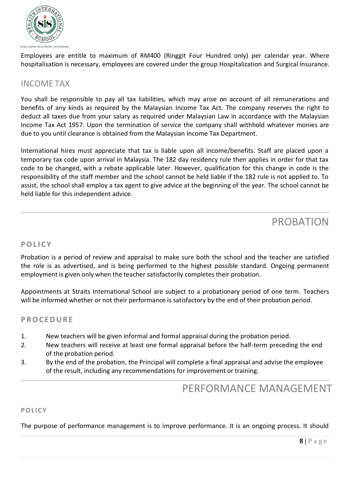

Employees are entitle to maximum of RM400 (Ringgit Four Hundred only) per calendar year. Where hospitalisation is necessary, employees are covered under the group Hospitalization and Surgical Insurance.

### INCOME TAX

You shall be responsible to pay all tax liabilities, which may arise on account of all remunerations and benefits of any kinds as required by the Malaysian Income Tax Act. The company reserves the right to deduct all taxes due from your salary as required under Malaysian Law in accordance with the Malaysian Income Tax Act 1957. Upon the termination of service the company shall withhold whatever monies are due to you until clearance is obtained from the Malaysian Income Tax Department.

International hires must appreciate that tax is liable upon all income/benefits. Staff are placed upon a temporary tax code upon arrival in Malaysia. The 182 day residency rule then applies in order for that tax code to be changed, with a rebate applicable later. However, qualification for this change in code is the responsibility of the staff member and the school cannot be held liable if the 182 rule is not applied to. To assist, the school shall employ a tax agent to give advice at the beginning of the year. The school cannot be held liable for this independent advice.

## PROBATION

### **POL I C Y**

Probation is a period of review and appraisal to make sure both the school and the teacher are satisfied the role is as advertised, and is being performed to the highest possible standard. Ongoing permanent employment is given only when the teacher satisfactorily completes their probation.

Appointments at Straits International School are subject to a probationary period of one term. Teachers will be informed whether or not their performance is satisfactory by the end of their probation period.

### **P ROC EDURE**

- 1. New teachers will be given informal and formal appraisal during the probation period.
- 2. New teachers will receive at least one formal appraisal before the half-term preceding the end of the probation period.
- 3. By the end of the probation, the Principal will complete a final appraisal and advise the employee of the result, including any recommendations for improvement or training.

## PERFORMANCE MANAGEMENT

### **POL ICY**

The purpose of performance management is to improve performance. It is an ongoing process. It should

**8 |** P a g e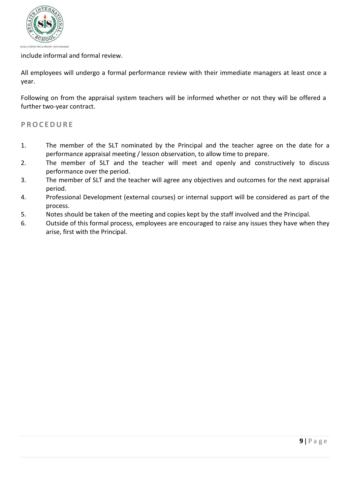

#### include informal and formal review.

All employees will undergo a formal performance review with their immediate managers at least once a year.

Following on from the appraisal system teachers will be informed whether or not they will be offered a further two-year contract.

#### **P ROC EDURE**

- 1. The member of the SLT nominated by the Principal and the teacher agree on the date for a performance appraisal meeting / lesson observation, to allow time to prepare.
- 2. The member of SLT and the teacher will meet and openly and constructively to discuss performance over the period.
- 3. The member of SLT and the teacher will agree any objectives and outcomes for the next appraisal period.
- 4. Professional Development (external courses) or internal support will be considered as part of the process.
- 5. Notes should be taken of the meeting and copies kept by the staff involved and the Principal.
- 6. Outside of this formal process, employees are encouraged to raise any issues they have when they arise, first with the Principal.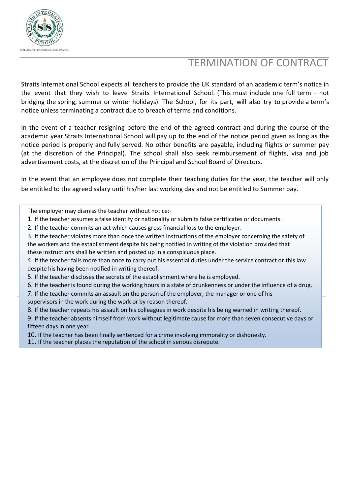

# TERMINATION OF CONTRACT

Straits International School expects all teachers to provide the UK standard of an academic term's notice in the event that they wish to leave Straits International School. (This must include one full term – not bridging the spring, summer or winter holidays). The School, for its part, will also try to provide a term's notice unless terminating a contract due to breach of terms and conditions.

In the event of a teacher resigning before the end of the agreed contract and during the course of the academic year Straits International School will pay up to the end of the notice period given as long as the notice period is properly and fully served. No other benefits are payable, including flights or summer pay (at the discretion of the Principal). The school shall also seek reimbursement of flights, visa and job advertisement costs, at the discretion of the Principal and School Board of Directors.

In the event that an employee does not complete their teaching duties for the year, the teacher will only be entitled to the agreed salary until his/her last working day and not be entitled to Summer pay.

The employer may dismiss the teacher without notice:-

- 1. If the teacher assumes a false identity or nationality or submits false certificates or documents.
- 2. If the teacher commits an act which causes gross financial loss to the employer.

3. If the teacher violates more than once the written instructions of the employer concerning the safety of the workers and the establishment despite his being notified in writing of the violation provided that these instructions shall be written and posted up in a conspicuous place.

4. If the teacher fails more than once to carry out his essential duties under the service contract or this law despite his having been notified in writing thereof.

5. If the teacher discloses the secrets of the establishment where he is employed.

- 6. If the teacher is found during the working hours in a state of drunkenness or under the influence of a drug.
- 7. If the teacher commits an assault on the person of the employer, the manager or one of his supervisors in the work during the work or by reason thereof.
- 8. If the teacher repeats his assault on his colleagues in work despite his being warned in writing thereof.

9. If the teacher absents himself from work without legitimate cause for more than seven consecutive days or fifteen days in one year.

10. If the teacher has been finally sentenced for a crime involving immorality or dishonesty.

11. If the teacher places the reputation of the school in serious disrepute.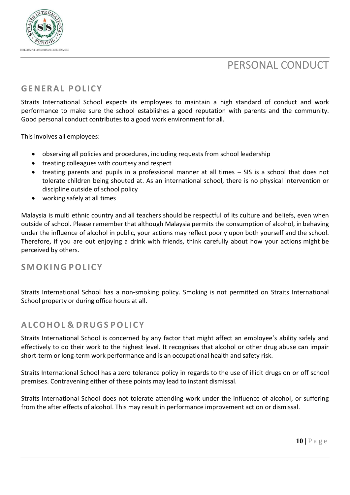



## **GENERAL POL ICY**

Straits International School expects its employees to maintain a high standard of conduct and work performance to make sure the school establishes a good reputation with parents and the community. Good personal conduct contributes to a good work environment for all.

This involves all employees:

- observing all policies and procedures, including requests from school leadership
- treating colleagues with courtesy and respect
- treating parents and pupils in a professional manner at all times SIS is a school that does not tolerate children being shouted at. As an international school, there is no physical intervention or discipline outside of school policy
- working safely at all times

Malaysia is multi ethnic country and all teachers should be respectful of its culture and beliefs, even when outside of school. Please remember that although Malaysia permits the consumption of alcohol, in behaving under the influence of alcohol in public, your actions may reflect poorly upon both yourself and the school. Therefore, if you are out enjoying a drink with friends, think carefully about how your actions might be perceived by others.

### **SMOKING POL ICY**

Straits International School has a non-smoking policy. Smoking is not permitted on Straits International School property or during office hours at all.

### **ALCOHOL & DRUGS POL ICY**

Straits International School is concerned by any factor that might affect an employee's ability safely and effectively to do their work to the highest level. It recognises that alcohol or other drug abuse can impair short-term or long-term work performance and is an occupational health and safety risk.

Straits International School has a zero tolerance policy in regards to the use of illicit drugs on or off school premises. Contravening either of these points may lead to instant dismissal.

Straits International School does not tolerate attending work under the influence of alcohol, or suffering from the after effects of alcohol. This may result in performance improvement action or dismissal.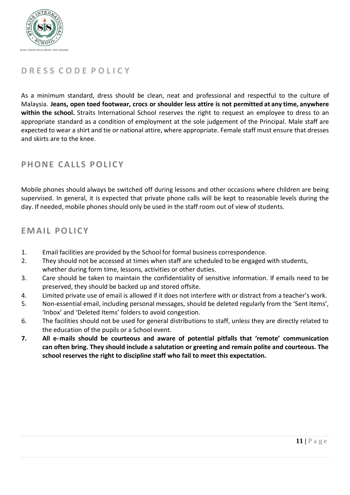

## **D R E S S C O D E P O L I C Y**

As a minimum standard, dress should be clean, neat and professional and respectful to the culture of Malaysia. **Jeans, open toed footwear, crocs or shoulder less attire is not permitted at any time, anywhere within the school.** Straits International School reserves the right to request an employee to dress to an appropriate standard as a condition of employment at the sole judgement of the Principal. Male staff are expected to wear a shirt and tie or national attire, where appropriate. Female staff must ensure that dresses and skirts are to the knee.

## **PHONE CALLS POLICY**

Mobile phones should always be switched off during lessons and other occasions where children are being supervised. In general, it is expected that private phone calls will be kept to reasonable levels during the day. If needed, mobile phones should only be used in the staff room out of view of students.

### **EMAI L POL ICY**

- 1. Email facilities are provided by the School for formal business correspondence.
- 2. They should not be accessed at times when staff are scheduled to be engaged with students, whether during form time, lessons, activities or other duties.
- 3. Care should be taken to maintain the confidentiality of sensitive information. If emails need to be preserved, they should be backed up and stored offsite.
- 4. Limited private use of email is allowed if it does not interfere with or distract from a teacher's work.
- 5. Non-essential email, including personal messages, should be deleted regularly from the 'Sent Items', 'Inbox' and 'Deleted Items' folders to avoid congestion.
- 6. The facilities should not be used for general distributions to staff, unless they are directly related to the education of the pupils or a School event.
- **7. All e-mails should be courteous and aware of potential pitfalls that 'remote' communication can often bring. They should include a salutation or greeting and remain polite and courteous. The school reserves the right to discipline staff who fail to meet this expectation.**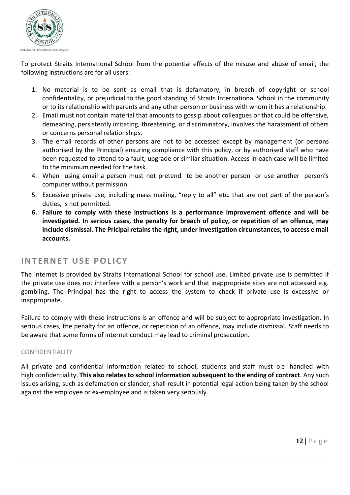

To protect Straits International School from the potential effects of the misuse and abuse of email, the following instructions are for all users:

- 1. No material is to be sent as email that is defamatory, in breach of copyright or school confidentiality, or prejudicial to the good standing of Straits International School in the community or to its relationship with parents and any other person or business with whom it has a relationship.
- 2. Email must not contain material that amounts to gossip about colleagues or that could be offensive, demeaning, persistently irritating, threatening, or discriminatory, involves the harassment of others or concerns personal relationships.
- 3. The email records of other persons are not to be accessed except by management (or persons authorised by the Principal) ensuring compliance with this policy, or by authorised staff who have been requested to attend to a fault, upgrade or similar situation. Access in each case will be limited to the minimum needed for the task.
- 4. When using email a person must not pretend to be another person or use another person's computer without permission.
- 5. Excessive private use, including mass mailing, "reply to all" etc. that are not part of the person's duties, is not permitted.
- **6. Failure to comply with these instructions is a performance improvement offence and will be investigated. In serious cases, the penalty for breach of policy, or repetition of an offence, may include dismissal. The Pricipal retains the right, under investigation circumstances, to access e mail accounts.**

### **INTERNET USE POLICY**

The internet is provided by Straits International School for school use. Limited private use is permitted if the private use does not interfere with a person's work and that inappropriate sites are not accessed e.g. gambling. The Principal has the right to access the system to check if private use is excessive or inappropriate.

Failure to comply with these instructions is an offence and will be subject to appropriate investigation. In serious cases, the penalty for an offence, or repetition of an offence, may include dismissal. Staff needs to be aware that some forms of internet conduct may lead to criminal prosecution.

#### CONFIDENTIALITY

All private and confidential information related to school, students and staff must be handled with high confidentiality. **This also relates to school information subsequent to the ending of contract**. Any such issues arising, such as defamation or slander, shall result in potential legal action being taken by the school against the employee or ex-employee and is taken very seriously.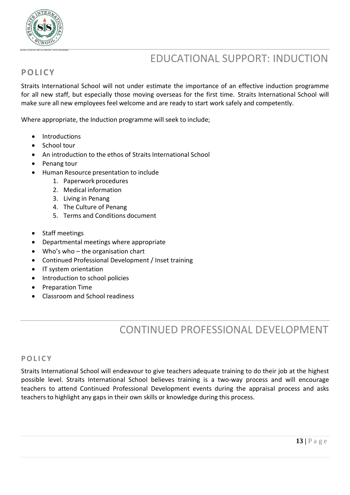

# EDUCATIONAL SUPPORT: INDUCTION

## **POL ICY**

Straits International School will not under estimate the importance of an effective induction programme for all new staff, but especially those moving overseas for the first time. Straits International School will make sure all new employees feel welcome and are ready to start work safely and competently.

Where appropriate, the Induction programme will seek to include;

- Introductions
- School tour
- An introduction to the ethos of Straits International School
- Penang tour
- Human Resource presentation to include
	- 1. Paperwork procedures
	- 2. Medical information
	- 3. Living in Penang
	- 4. The Culture of Penang
	- 5. Terms and Conditions document
- Staff meetings
- Departmental meetings where appropriate
- Who's who the organisation chart
- Continued Professional Development / Inset training
- IT system orientation
- Introduction to school policies
- Preparation Time
- Classroom and School readiness

# CONTINUED PROFESSIONAL DEVELOPMENT

### **POL I C Y**

Straits International School will endeavour to give teachers adequate training to do their job at the highest possible level. Straits International School believes training is a two-way process and will encourage teachers to attend Continued Professional Development events during the appraisal process and asks teachers to highlight any gaps in their own skills or knowledge during this process.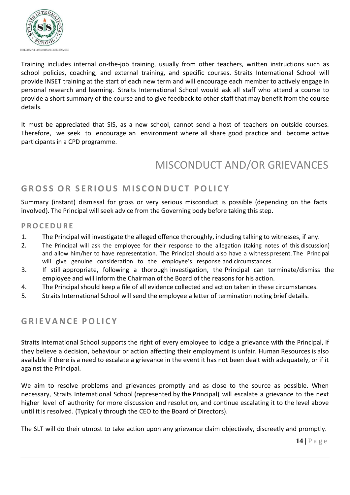

Training includes internal on-the-job training, usually from other teachers, written instructions such as school policies, coaching, and external training, and specific courses. Straits International School will provide INSET training at the start of each new term and will encourage each member to actively engage in personal research and learning. Straits International School would ask all staff who attend a course to provide a short summary of the course and to give feedback to other staff that may benefit from the course details.

It must be appreciated that SIS, as a new school, cannot send a host of teachers on outside courses. Therefore, we seek to encourage an environment where all share good practice and become active participants in a CPD programme.

# MISCONDUCT AND/OR GRIEVANCES

## **GROS S OR S ER IOUS M I S CONDUC T POL I C Y**

Summary (instant) dismissal for gross or very serious misconduct is possible (depending on the facts involved). The Principal will seek advice from the Governing body before taking this step.

#### **P ROC EDURE**

- 1. The Principal will investigate the alleged offence thoroughly, including talking to witnesses, if any.
- 2. The Principal will ask the employee for their response to the allegation (taking notes of this discussion) and allow him/her to have representation. The Principal should also have a witness present. The Principal will give genuine consideration to the employee's response and circumstances.
- 3. If still appropriate, following a thorough investigation, the Principal can terminate/dismiss the employee and will inform the Chairman of the Board of the reasons for his action.
- 4. The Principal should keep a file of all evidence collected and action taken in these circumstances.
- 5. Straits International School will send the employee a letter of termination noting brief details.

## **GR I E VANC E POL I C Y**

Straits International School supports the right of every employee to lodge a grievance with the Principal, if they believe a decision, behaviour or action affecting their employment is unfair. Human Resources is also available if there is a need to escalate a grievance in the event it has not been dealt with adequately, or if it against the Principal.

We aim to resolve problems and grievances promptly and as close to the source as possible. When necessary, Straits International School (represented by the Principal) will escalate a grievance to the next higher level of authority for more discussion and resolution, and continue escalating it to the level above until it is resolved. (Typically through the CEO to the Board of Directors).

The SLT will do their utmost to take action upon any grievance claim objectively, discreetly and promptly.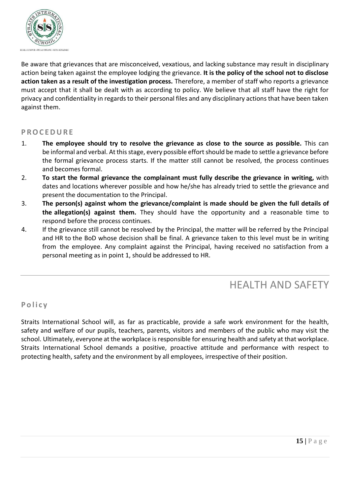

Be aware that grievances that are misconceived, vexatious, and lacking substance may result in disciplinary action being taken against the employee lodging the grievance. **It is the policy of the school not to disclose action taken as a result of the investigation process.** Therefore, a member of staff who reports a grievance must accept that it shall be dealt with as according to policy. We believe that all staff have the right for privacy and confidentiality in regards to their personal files and any disciplinary actions that have been taken against them.

#### **P ROC EDURE**

- 1. **The employee should try to resolve the grievance as close to the source as possible.** This can be informal and verbal. At this stage, every possible effort should be made to settle a grievance before the formal grievance process starts. If the matter still cannot be resolved, the process continues and becomes formal.
- 2. **To start the formal grievance the complainant must fully describe the grievance in writing,** with dates and locations wherever possible and how he/she has already tried to settle the grievance and present the documentation to the Principal.
- 3. **The person(s) against whom the grievance/complaint is made should be given the full details of the allegation(s) against them.** They should have the opportunity and a reasonable time to respond before the process continues.
- 4. If the grievance still cannot be resolved by the Principal, the matter will be referred by the Principal and HR to the BoD whose decision shall be final. A grievance taken to this level must be in writing from the employee. Any complaint against the Principal, having received no satisfaction from a personal meeting as in point 1, should be addressed to HR.

## HEALTH AND SAFETY

### **P o l i c y**

Straits International School will, as far as practicable, provide a safe work environment for the health, safety and welfare of our pupils, teachers, parents, visitors and members of the public who may visit the school. Ultimately, everyone at the workplace isresponsible for ensuring health and safety at that workplace. Straits International School demands a positive, proactive attitude and performance with respect to protecting health, safety and the environment by all employees, irrespective of their position.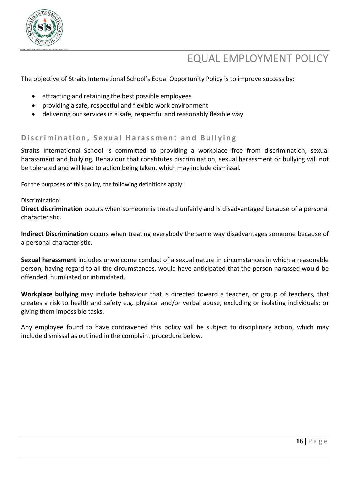

# EQUAL EMPLOYMENT POLICY

The objective of Straits International School's Equal Opportunity Policy is to improve success by:

- attracting and retaining the best possible employees
- providing a safe, respectful and flexible work environment
- delivering our services in a safe, respectful and reasonably flexible way

#### Discrimination, Sexual Harassment and Bullying

Straits International School is committed to providing a workplace free from discrimination, sexual harassment and bullying. Behaviour that constitutes discrimination, sexual harassment or bullying will not be tolerated and will lead to action being taken, which may include dismissal.

For the purposes of this policy, the following definitions apply:

#### Discrimination:

**Direct discrimination** occurs when someone is treated unfairly and is disadvantaged because of a personal characteristic.

**Indirect Discrimination** occurs when treating everybody the same way disadvantages someone because of a personal characteristic.

**Sexual harassment** includes unwelcome conduct of a sexual nature in circumstances in which a reasonable person, having regard to all the circumstances, would have anticipated that the person harassed would be offended, humiliated or intimidated.

**Workplace bullying** may include behaviour that is directed toward a teacher, or group of teachers, that creates a risk to health and safety e.g. physical and/or verbal abuse, excluding or isolating individuals; or giving them impossible tasks.

Any employee found to have contravened this policy will be subject to disciplinary action, which may include dismissal as outlined in the complaint procedure below.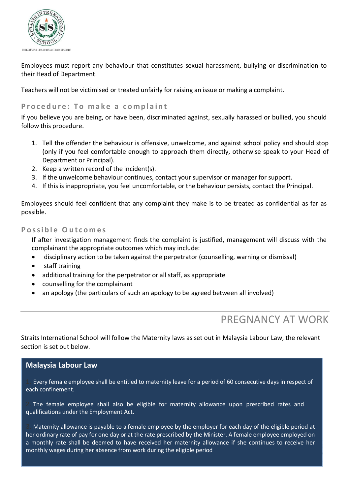

Employees must report any behaviour that constitutes sexual harassment, bullying or discrimination to their Head of Department.

Teachers will not be victimised or treated unfairly for raising an issue or making a complaint.

#### **Procedure:** To make a complaint

If you believe you are being, or have been, discriminated against, sexually harassed or bullied, you should follow this procedure.

- 1. Tell the offender the behaviour is offensive, unwelcome, and against school policy and should stop (only if you feel comfortable enough to approach them directly, otherwise speak to your Head of Department or Principal).
- 2. Keep a written record of the incident(s).
- 3. If the unwelcome behaviour continues, contact your supervisor or manager for support.
- 4. If this is inappropriate, you feel uncomfortable, or the behaviour persists, contact the Principal.

Employees should feel confident that any complaint they make is to be treated as confidential as far as possible.

#### **P o ssi b l e O u t c o m e s**

If after investigation management finds the complaint is justified, management will discuss with the complainant the appropriate outcomes which may include:

- disciplinary action to be taken against the perpetrator (counselling, warning or dismissal)
- staff training
- additional training for the perpetrator or all staff, as appropriate
- counselling for the complainant
- an apology (the particulars of such an apology to be agreed between all involved)

## PREGNANCY AT WORK

g e

Straits International School will follow the Maternity laws as set out in Malaysia Labour Law, the relevant section is set out below.

### **Malaysia Labour Law**

Every female employee shall be entitled to maternity leave for a period of 60 consecutive days in respect of each confinement.

The female employee shall also be eligible for maternity allowance upon prescribed rates and qualifications under the Employment Act.

a monthly rate shall be deemed to have received her maternity allowance if she continues to receive her<br>and the state of the state of the state of the state of the state of the state of the state of the state of th Maternity allowance is payable to a female employee by the employer for each day of the eligible period at her ordinary rate of pay for one day or at the rate prescribed by the Minister. A female employee employed on monthly wages during her absence from work during the eligible period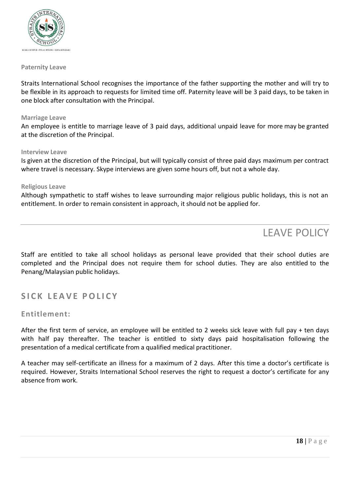

#### **Paternity Leave**

Straits International School recognises the importance of the father supporting the mother and will try to be flexible in its approach to requests for limited time off. Paternity leave will be 3 paid days, to be taken in one block after consultation with the Principal.

#### **Marriage Leave**

An employee is entitle to marriage leave of 3 paid days, additional unpaid leave for more may be granted at the discretion of the Principal.

#### **Interview Leave**

Is given at the discretion of the Principal, but will typically consist of three paid days maximum per contract where travel is necessary. Skype interviews are given some hours off, but not a whole day.

#### **Religious Leave**

Although sympathetic to staff wishes to leave surrounding major religious public holidays, this is not an entitlement. In order to remain consistent in approach, it should not be applied for.

## LEAVE POLICY

Staff are entitled to take all school holidays as personal leave provided that their school duties are completed and the Principal does not require them for school duties. They are also entitled to the Penang/Malaysian public holidays.

### **S I C K L EA VE POL I C Y**

#### **Entitlement:**

After the first term of service, an employee will be entitled to 2 weeks sick leave with full pay + ten days with half pay thereafter. The teacher is entitled to sixty days paid hospitalisation following the presentation of a medical certificate from a qualified medical practitioner.

A teacher may self-certificate an illness for a maximum of 2 days. After this time a doctor's certificate is required. However, Straits International School reserves the right to request a doctor's certificate for any absence from work.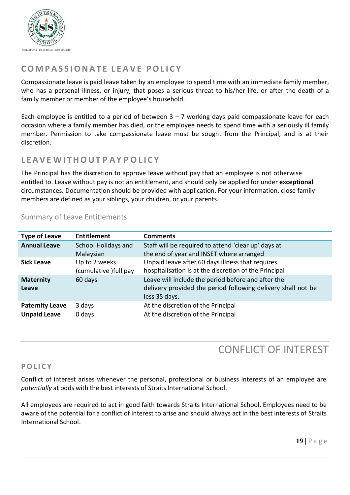

## **CO M P AS S IONAT E L EA V E POL I C Y**

Compassionate leave is paid leave taken by an employee to spend time with an immediate family member, who has a personal illness, or injury, that poses a serious threat to his/her life, or after the death of a family member or member of the employee's household.

Each employee is entitled to a period of between  $3 - 7$  working days paid compassionate leave for each occasion where a family member has died, or the employee needs to spend time with a seriously ill family member. Permission to take compassionate leave must be sought from the Principal, and is at their discretion.

## **L EAVE WI THOUT P AY P O L I C Y**

The Principal has the discretion to approve leave without pay that an employee is not otherwise entitled to. Leave without pay is not an entitlement, and should only be applied for under **exceptional**  circumstances. Documentation should be provided with application. For your information, close family members are defined as your siblings, your children, or your parents.

| <b>Type of Leave</b>                          | <b>Entitlement</b>                      | <b>Comments</b>                                                                                                                     |
|-----------------------------------------------|-----------------------------------------|-------------------------------------------------------------------------------------------------------------------------------------|
| <b>Annual Leave</b>                           | School Holidays and<br>Malaysian        | Staff will be required to attend 'clear up' days at<br>the end of year and INSET where arranged                                     |
| <b>Sick Leave</b>                             | Up to 2 weeks<br>(cumulative ) full pay | Unpaid leave after 60 days illness that requires<br>hospitalisation is at the discretion of the Principal                           |
| <b>Maternity</b><br>Leave                     | 60 days                                 | Leave will include the period before and after the<br>delivery provided the period following delivery shall not be<br>less 35 days. |
| <b>Paternity Leave</b><br><b>Unpaid Leave</b> | 3 days<br>0 days                        | At the discretion of the Principal<br>At the discretion of the Principal                                                            |

### Summary of Leave Entitlements

## CONFLICT OF INTEREST

### **POL I C Y**

Conflict of interest arises whenever the personal, professional or business interests of an employee are potentially at odds with the best interests of Straits International School.

All employees are required to act in good faith towards Straits International School. Employees need to be aware of the potential for a conflict of interest to arise and should always act in the best interests of Straits International School.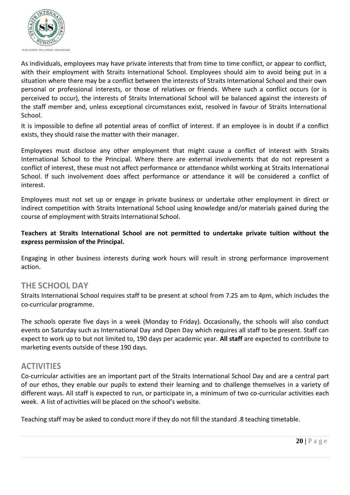

As individuals, employees may have private interests that from time to time conflict, or appear to conflict, with their employment with Straits International School. Employees should aim to avoid being put in a situation where there may be a conflict between the interests of Straits International School and their own personal or professional interests, or those of relatives or friends. Where such a conflict occurs (or is perceived to occur), the interests of Straits International School will be balanced against the interests of the staff member and, unless exceptional circumstances exist, resolved in favour of Straits International School.

It is impossible to define all potential areas of conflict of interest. If an employee is in doubt if a conflict exists, they should raise the matter with their manager.

Employees must disclose any other employment that might cause a conflict of interest with Straits International School to the Principal. Where there are external involvements that do not represent a conflict of interest, these must not affect performance or attendance whilst working at Straits International School. If such involvement does affect performance or attendance it will be considered a conflict of interest.

Employees must not set up or engage in private business or undertake other employment in direct or indirect competition with Straits International School using knowledge and/or materials gained during the course of employment with Straits International School.

**Teachers at Straits International School are not permitted to undertake private tuition without the express permission of the Principal.**

Engaging in other business interests during work hours will result in strong performance improvement action.

### **THE SCHOOL DAY**

Straits International School requires staff to be present at school from 7.25 am to 4pm, which includes the co-curricular programme.

The schools operate five days in a week (Monday to Friday). Occasionally, the schools will also conduct events on Saturday such as International Day and Open Day which requires all staff to be present. Staff can expect to work up to but not limited to, 190 days per academic year. **All staff** are expected to contribute to marketing events outside of these 190 days.

### **ACTIVITIES**

Co-curricular activities are an important part of the Straits International School Day and are a central part of our ethos, they enable our pupils to extend their learning and to challenge themselves in a variety of different ways. All staff is expected to run, or participate in, a minimum of two co-curricular activities each week. A list of activities will be placed on the school's website.

Teaching staff may be asked to conduct more if they do not fill the standard .8 teaching timetable.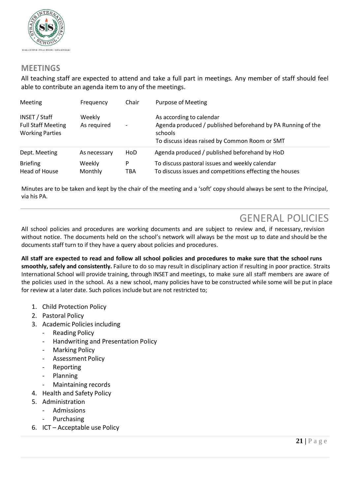

### **MEETINGS**

All teaching staff are expected to attend and take a full part in meetings. Any member of staff should feel able to contribute an agenda item to any of the meetings.

| Meeting                                                              | Frequency             | Chair                    | Purpose of Meeting                                                                                                                                  |
|----------------------------------------------------------------------|-----------------------|--------------------------|-----------------------------------------------------------------------------------------------------------------------------------------------------|
| INSET / Staff<br><b>Full Staff Meeting</b><br><b>Working Parties</b> | Weekly<br>As required | $\overline{\phantom{0}}$ | As according to calendar<br>Agenda produced / published beforehand by PA Running of the<br>schools<br>To discuss ideas raised by Common Room or SMT |
| Dept. Meeting                                                        | As necessary          | HoD                      | Agenda produced / published beforehand by HoD                                                                                                       |
| <b>Briefing</b><br>Head of House                                     | Weekly<br>Monthly     | P<br>TBA                 | To discuss pastoral issues and weekly calendar<br>To discuss issues and competitions effecting the houses                                           |

Minutes are to be taken and kept by the chair of the meeting and a 'soft' copy should always be sent to the Principal, via his PA.

## GENERAL POLICIES

All school policies and procedures are working documents and are subject to review and, if necessary, revision without notice. The documents held on the school's network will always be the most up to date and should be the documents staff turn to if they have a query about policies and procedures.

All staff are expected to read and follow all school policies and procedures to make sure that the school runs **smoothly,safely and consistently.** Failure to do so may result in disciplinary action if resulting in poor practice. Straits International School will provide training, through INSET and meetings, to make sure all staff members are aware of the policies used in the school. As a new school, many policies have to be constructed while some will be put in place for review at a later date. Such polices include but are not restricted to;

- 1. Child Protection Policy
- 2. Pastoral Policy
- 3. Academic Policies including
	- **Reading Policy**
	- Handwriting and Presentation Policy
	- **Marking Policy**
	- Assessment Policy
	- Reporting
	- **Planning**
	- Maintaining records
- 4. Health and Safety Policy
- 5. Administration
	- **Admissions** 
		- **Purchasing**
- 6. ICT Acceptable use Policy